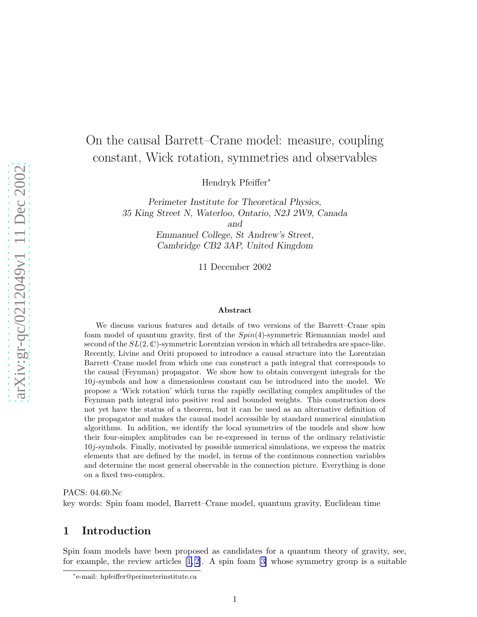# On the causal Barrett–Crane model: measure, coupling constant, Wick rotation, symmetries and observables

Hendryk Pfeiffer ∗

Perimeter Institute for Theoretical Physics, 35 King Street N, Waterloo, Ontario, N2J 2W9, Canada and

> Emmanuel College, St Andrew's Street, Cambridge CB2 3AP, United Kingdom

> > 11 December 2002

#### Abstract

We discuss various features and details of two versions of the Barrett–Crane spin foam model of quantum gravity, first of the Spin(4)-symmetric Riemannian model and second of the  $SL(2,\mathbb{C})$ -symmetric Lorentzian version in which all tetrahedra are space-like. Recently, Livine and Oriti proposed to introduce a causal structure into the Lorentzian Barrett–Crane model from which one can construct a path integral that corresponds to the causal (Feynman) propagator. We show how to obtain convergent integrals for the 10 j-symbols and how a dimensionless constant can be introduced into the model. We propose a 'Wick rotation' which turns the rapidly oscillating complex amplitudes of the Feynman path integral into positive real and bounded weights. This construction does not yet have the status of a theorem, but it can be used as an alternative definition of the propagator and makes the causal model accessible by standard numerical simulation algorithms. In addition, we identify the local symmetries of the models and show how their four-simplex amplitudes can be re-expressed in terms of the ordinary relativistic 10 j-symbols. Finally, motivated by possible numerical simulations, we express the matrix elements that are defined by the model, in terms of the continuous connection variables and determine the most general observable in the connection picture. Everything is done on a fixed two-complex.

PACS: 04.60.Nc

key words: Spin foam model, Barrett–Crane model, quantum gravity, Euclidean time

### 1 Introduction

Spin foam models have been proposed as candidates for a quantum theory of gravity, see, for example, the review articles  $[1, 2]$ . A spin foam  $[3]$  whose symmetry group is a suitable

<sup>∗</sup> e-mail: hpfeiffer@perimeterinstitute.ca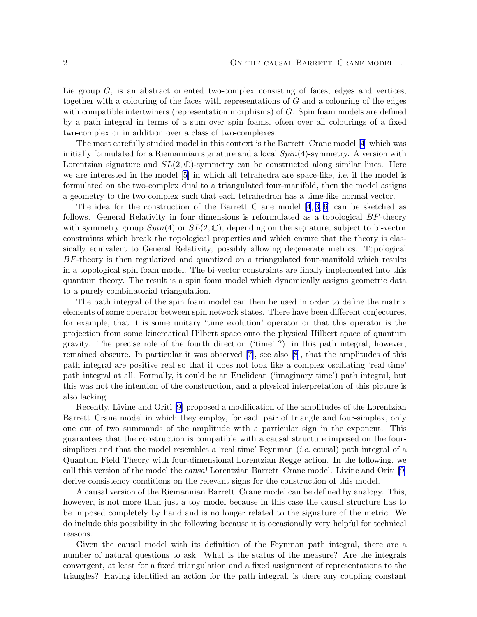Lie group  $G$ , is an abstract oriented two-complex consisting of faces, edges and vertices, together with a colouring of the faces with representations of G and a colouring of the edges with compatible intertwiners (representation morphisms) of G. Spin foam models are defined by a path integral in terms of a sum over spin foams, often over all colourings of a fixed two-complex or in addition over a class of two-complexes.

The most carefully studied model in this context is the Barrett–Crane model[[4](#page-20-0)] which was initially formulated for a Riemannian signature and a local  $Spin(4)$ -symmetry. A version with Lorentzian signature and  $SL(2,\mathbb{C})$ -symmetry can be constructed along similar lines. Here we are interested in the model [\[5\]](#page-20-0) in which all tetrahedra are space-like, i.e. if the model is formulated on the two-complex dual to a triangulated four-manifold, then the model assigns a geometry to the two-complex such that each tetrahedron has a time-like normal vector.

The idea for the construction of the Barrett–Crane model[[4](#page-20-0), [3](#page-20-0), [6\]](#page-20-0) can be sketched as follows. General Relativity in four dimensions is reformulated as a topological BF-theory with symmetry group  $Spin(4)$  or  $SL(2,\mathbb{C})$ , depending on the signature, subject to bi-vector constraints which break the topological properties and which ensure that the theory is classically equivalent to General Relativity, possibly allowing degenerate metrics. Topological BF-theory is then regularized and quantized on a triangulated four-manifold which results in a topological spin foam model. The bi-vector constraints are finally implemented into this quantum theory. The result is a spin foam model which dynamically assigns geometric data to a purely combinatorial triangulation.

The path integral of the spin foam model can then be used in order to define the matrix elements of some operator between spin network states. There have been different conjectures, for example, that it is some unitary 'time evolution' operator or that this operator is the projection from some kinematical Hilbert space onto the physical Hilbert space of quantum gravity. The precise role of the fourth direction ('time' ?) in this path integral, however, remained obscure. In particular it was observed [\[7\]](#page-20-0), see also [\[8](#page-20-0)], that the amplitudes of this path integral are positive real so that it does not look like a complex oscillating 'real time' path integral at all. Formally, it could be an Euclidean ('imaginary time') path integral, but this was not the intention of the construction, and a physical interpretation of this picture is also lacking.

Recently, Livine and Oriti [\[9\]](#page-20-0) proposed a modification of the amplitudes of the Lorentzian Barrett–Crane model in which they employ, for each pair of triangle and four-simplex, only one out of two summands of the amplitude with a particular sign in the exponent. This guarantees that the construction is compatible with a causal structure imposed on the foursimplices and that the model resembles a 'real time' Feynman (i.e. causal) path integral of a Quantum Field Theory with four-dimensional Lorentzian Regge action. In the following, we call this version of the model the causal Lorentzian Barrett–Crane model. Livine and Oriti [\[9\]](#page-20-0) derive consistency conditions on the relevant signs for the construction of this model.

A causal version of the Riemannian Barrett–Crane model can be defined by analogy. This, however, is not more than just a toy model because in this case the causal structure has to be imposed completely by hand and is no longer related to the signature of the metric. We do include this possibility in the following because it is occasionally very helpful for technical reasons.

Given the causal model with its definition of the Feynman path integral, there are a number of natural questions to ask. What is the status of the measure? Are the integrals convergent, at least for a fixed triangulation and a fixed assignment of representations to the triangles? Having identified an action for the path integral, is there any coupling constant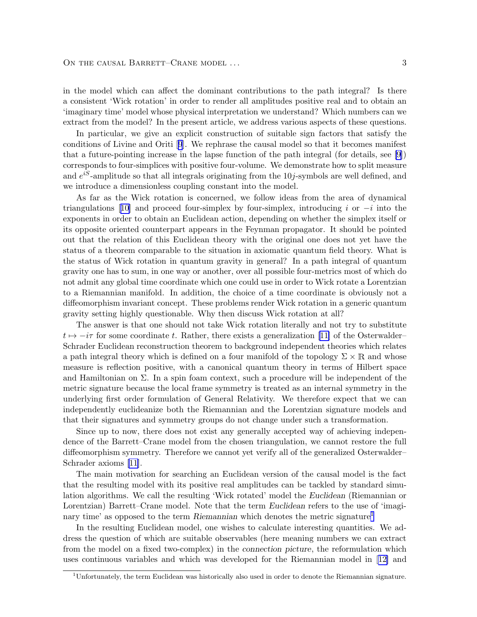in the model which can affect the dominant contributions to the path integral? Is there a consistent 'Wick rotation' in order to render all amplitudes positive real and to obtain an 'imaginary time' model whose physical interpretation we understand? Which numbers can we extract from the model? In the present article, we address various aspects of these questions.

In particular, we give an explicit construction of suitable sign factors that satisfy the conditions of Livine and Oriti[[9](#page-20-0)]. We rephrase the causal model so that it becomes manifest that a future-pointing increase in the lapse function of the path integral (for details, see [\[9\]](#page-20-0)) corresponds to four-simplices with positive four-volume. We demonstrate how to split measure and  $e^{iS}$ -amplitude so that all integrals originating from the 10*j*-symbols are well defined, and we introduce a dimensionless coupling constant into the model.

As far as the Wick rotation is concerned, we follow ideas from the area of dynamical triangulations[[10\]](#page-20-0) and proceed four-simplex by four-simplex, introducing i or  $-i$  into the exponents in order to obtain an Euclidean action, depending on whether the simplex itself or its opposite oriented counterpart appears in the Feynman propagator. It should be pointed out that the relation of this Euclidean theory with the original one does not yet have the status of a theorem comparable to the situation in axiomatic quantum field theory. What is the status of Wick rotation in quantum gravity in general? In a path integral of quantum gravity one has to sum, in one way or another, over all possible four-metrics most of which do not admit any global time coordinate which one could use in order to Wick rotate a Lorentzian to a Riemannian manifold. In addition, the choice of a time coordinate is obviously not a diffeomorphism invariant concept. These problems render Wick rotation in a generic quantum gravity setting highly questionable. Why then discuss Wick rotation at all?

The answer is that one should not take Wick rotation literally and not try to substitute  $t \mapsto -i\tau$  $t \mapsto -i\tau$  $t \mapsto -i\tau$  for some coordinate t. Rather, there exists a generalization [[11\]](#page-20-0) of the Osterwalder– Schrader Euclidean reconstruction theorem to background independent theories which relates a path integral theory which is defined on a four manifold of the topology  $\Sigma \times \mathbb{R}$  and whose measure is reflection positive, with a canonical quantum theory in terms of Hilbert space and Hamiltonian on Σ. In a spin foam context, such a procedure will be independent of the metric signature because the local frame symmetry is treated as an internal symmetry in the underlying first order formulation of General Relativity. We therefore expect that we can independently euclideanize both the Riemannian and the Lorentzian signature models and that their signatures and symmetry groups do not change under such a transformation.

Since up to now, there does not exist any generally accepted way of achieving independence of the Barrett–Crane model from the chosen triangulation, we cannot restore the full diffeomorphism symmetry. Therefore we cannot yet verify all of the generalized Osterwalder– Schrader axioms[[11\]](#page-20-0).

The main motivation for searching an Euclidean version of the causal model is the fact that the resulting model with its positive real amplitudes can be tackled by standard simulation algorithms. We call the resulting 'Wick rotated' model the Euclidean (Riemannian or Lorentzian) Barrett–Crane model. Note that the term Euclidean refers to the use of 'imaginary time' as opposed to the term Riemannian which denotes the metric signature<sup>1</sup>

In the resulting Euclidean model, one wishes to calculate interesting quantities. We address the question of which are suitable observables (here meaning numbers we can extract from the model on a fixed two-complex) in the connection picture, the reformulation which uses continuous variables and which was developed for the Riemannian model in[[12\]](#page-20-0) and

 $1$ Unfortunately, the term Euclidean was historically also used in order to denote the Riemannian signature.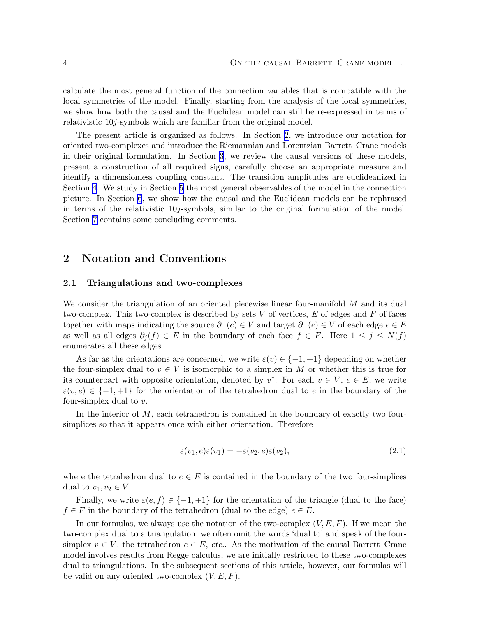<span id="page-3-0"></span>calculate the most general function of the connection variables that is compatible with the local symmetries of the model. Finally, starting from the analysis of the local symmetries, we show how both the causal and the Euclidean model can still be re-expressed in terms of relativistic 10j-symbols which are familiar from the original model.

The present article is organized as follows. In Section 2, we introduce our notation for oriented two-complexes and introduce the Riemannian and Lorentzian Barrett–Crane models in their original formulation. In Section [3](#page-5-0), we review the causal versions of these models, present a construction of all required signs, carefully choose an appropriate measure and identify a dimensionless coupling constant. The transition amplitudes are euclideanized in Section [4](#page-10-0). We study in Section [5](#page-12-0) the most general observables of the model in the connection picture. In Section [6](#page-15-0), we show how the causal and the Euclidean models can be rephrased in terms of the relativistic  $10j$ -symbols, similar to the original formulation of the model. Section [7](#page-19-0) contains some concluding comments.

### 2 Notation and Conventions

#### 2.1 Triangulations and two-complexes

We consider the triangulation of an oriented piecewise linear four-manifold M and its dual two-complex. This two-complex is described by sets  $V$  of vertices,  $E$  of edges and  $F$  of faces together with maps indicating the source  $\partial_{-}(e) \in V$  and target  $\partial_{+}(e) \in V$  of each edge  $e \in E$ as well as all edges  $\partial_i(f) \in E$  in the boundary of each face  $f \in F$ . Here  $1 \leq j \leq N(f)$ enumerates all these edges.

As far as the orientations are concerned, we write  $\varepsilon(v) \in \{-1, +1\}$  depending on whether the four-simplex dual to  $v \in V$  is isomorphic to a simplex in M or whether this is true for its counterpart with opposite orientation, denoted by  $v^*$ . For each  $v \in V$ ,  $e \in E$ , we write  $\varepsilon(v, e) \in \{-1, +1\}$  for the orientation of the tetrahedron dual to e in the boundary of the four-simplex dual to  $v$ .

In the interior of  $M$ , each tetrahedron is contained in the boundary of exactly two foursimplices so that it appears once with either orientation. Therefore

$$
\varepsilon(v_1, e)\varepsilon(v_1) = -\varepsilon(v_2, e)\varepsilon(v_2),\tag{2.1}
$$

where the tetrahedron dual to  $e \in E$  is contained in the boundary of the two four-simplices dual to  $v_1, v_2 \in V$ .

Finally, we write  $\varepsilon(e, f) \in \{-1, +1\}$  for the orientation of the triangle (dual to the face)  $f \in F$  in the boundary of the tetrahedron (dual to the edge)  $e \in E$ .

In our formulas, we always use the notation of the two-complex  $(V, E, F)$ . If we mean the two-complex dual to a triangulation, we often omit the words 'dual to' and speak of the foursimplex  $v \in V$ , the tetrahedron  $e \in E$ , etc.. As the motivation of the causal Barrett–Crane model involves results from Regge calculus, we are initially restricted to these two-complexes dual to triangulations. In the subsequent sections of this article, however, our formulas will be valid on any oriented two-complex  $(V, E, F)$ .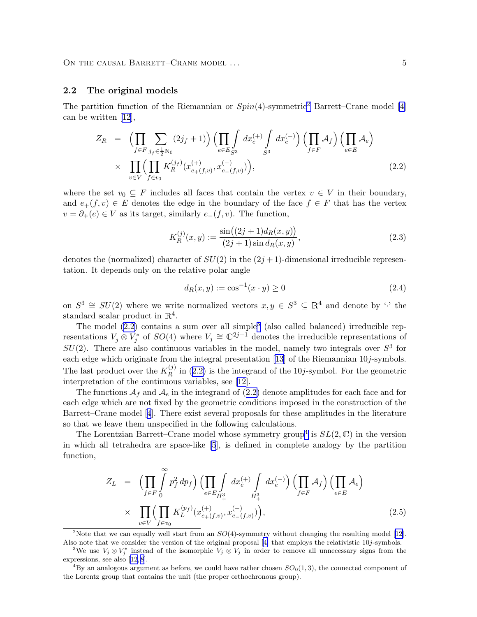### <span id="page-4-0"></span>2.2 The original models

The partition function of the Riemannian or  $Spin(4)$ -symmetric<sup>2</sup> Barrett–Crane model [\[4\]](#page-20-0) can be written [\[12\]](#page-20-0),

$$
Z_R = \left(\prod_{f \in F} \sum_{j_f \in \frac{1}{2}N_0} (2j_f + 1)\right) \left(\prod_{e \in E} \int_{S^3} dx_e^{(+)} \int_{S^3} dx_e^{(-)}\right) \left(\prod_{f \in F} A_f\right) \left(\prod_{e \in E} A_e\right)
$$
  
 
$$
\times \prod_{v \in V} \left(\prod_{f \in v_0} K_R^{(j_f)}(x_{e_+(f,v)}^{(+)}, x_{e_-(f,v)}^{(-)})\right), \tag{2.2}
$$

where the set  $v_0 \subseteq F$  includes all faces that contain the vertex  $v \in V$  in their boundary, and  $e_{+}(f, v) \in E$  denotes the edge in the boundary of the face  $f \in F$  that has the vertex  $v = \partial_{+}(e) \in V$  as its target, similarly  $e_{-}(f, v)$ . The function,

$$
K_R^{(j)}(x,y) := \frac{\sin((2j+1)d_R(x,y))}{(2j+1)\sin d_R(x,y)},
$$
\n(2.3)

denotes the (normalized) character of  $SU(2)$  in the  $(2j+1)$ -dimensional irreducible representation. It depends only on the relative polar angle

$$
d_R(x, y) := \cos^{-1}(x \cdot y) \ge 0
$$
\n(2.4)

on  $S^3 \cong SU(2)$  where we write normalized vectors  $x, y \in S^3 \subseteq \mathbb{R}^4$  and denote by '.' the standard scalar product in  $\mathbb{R}^4$ .

The model  $(2.2)$  contains a sum over all simple<sup>3</sup> (also called balanced) irreducible representations  $V_j \otimes V_j^*$  $\widetilde{S}_j^*$  of  $SO(4)$  where  $V_j \cong \mathbb{C}^{2j+1}$  denotes the irreducible representations of  $SU(2)$ . There are also continuous variables in the model, namely two integrals over  $S<sup>3</sup>$  for each edge which originate from the integral presentation [\[13](#page-20-0)] of the Riemannian 10j-symbols. The last product over the  $K_R^{(j)}$  $\mathbb{R}^{(1)}$  in (2.2) is the integrand of the 10*j*-symbol. For the geometric interpretation of the continuous variables, see [\[12\]](#page-20-0).

The functions  $A_f$  and  $A_e$  in the integrand of (2.2) denote amplitudes for each face and for each edge which are not fixed by the geometric conditions imposed in the construction of the Barrett–Crane model[[4](#page-20-0)]. There exist several proposals for these amplitudes in the literature so that we leave them unspecified in the following calculations.

The Lorentzian Barrett–Crane model whose symmetry group<sup>4</sup> is  $SL(2,\mathbb{C})$  in the version in which all tetrahedra are space-like [\[5](#page-20-0)], is defined in complete analogy by the partition function,

$$
Z_{L} = \left(\prod_{f \in F} \int_{0}^{\infty} p_{f}^{2} dp_{f}\right) \left(\prod_{e \in E} \int_{H_{+}^{3}} dx_{e}^{(+)} \int_{H_{+}^{3}} dx_{e}^{(-)}\right) \left(\prod_{f \in F} \mathcal{A}_{f}\right) \left(\prod_{e \in E} \mathcal{A}_{e}\right)
$$
  
 
$$
\times \prod_{v \in V} \left(\prod_{f \in v_{0}} K_{L}^{(p_{f})}(x_{e_{+}(f,v)}^{(+)}, x_{e_{-}(f,v)}^{(-)})\right), \tag{2.5}
$$

<sup>2</sup>Notethat we can equally well start from an  $SO(4)$ -symmetry without changing the resulting model [[12\]](#page-20-0). Also note that we consider the version of the original proposal [\[4\]](#page-20-0) that employs the relativistic 10j-symbols.

<sup>&</sup>lt;sup>3</sup>We use  $V_j \otimes V_j^*$  instead of the isomorphic  $V_j \otimes V_j$  in order to remove all unnecessary signs from the expressions, see also[[12, 8\]](#page-20-0).

<sup>&</sup>lt;sup>4</sup>By an analogous argument as before, we could have rather chosen  $SO<sub>0</sub>(1,3)$ , the connected component of the Lorentz group that contains the unit (the proper orthochronous group).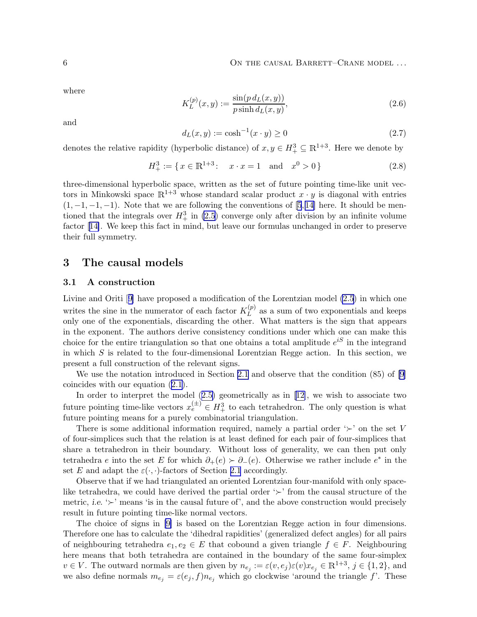<span id="page-5-0"></span>where

$$
K_L^{(p)}(x,y) := \frac{\sin(p \, d_L(x,y))}{p \sinh d_L(x,y)},\tag{2.6}
$$

and

$$
d_L(x, y) := \cosh^{-1}(x \cdot y) \ge 0
$$
\n(2.7)

denotes the relative rapidity (hyperbolic distance) of  $x, y \in H^3_+ \subseteq \mathbb{R}^{1+3}$ . Here we denote by

$$
H_+^3 := \{ x \in \mathbb{R}^{1+3} : \quad x \cdot x = 1 \quad \text{and} \quad x^0 > 0 \}
$$
 (2.8)

three-dimensional hyperbolic space, written as the set of future pointing time-like unit vectors in Minkowski space  $\mathbb{R}^{1+3}$  whose standard scalar product  $x \cdot y$  is diagonal with entries  $(1, -1, -1, -1)$ . Note that we are following the conventions of [\[5](#page-20-0),14] here. It should be mentioned that the integrals over  $H_+^3$  in [\(2.5](#page-4-0)) converge only after division by an infinite volume factor[[14\]](#page-20-0). We keep this fact in mind, but leave our formulas unchanged in order to preserve their full symmetry.

### 3 The causal models

#### 3.1 A construction

Livine and Oriti[[9\]](#page-20-0) have proposed a modification of the Lorentzian model [\(2.5](#page-4-0)) in which one writes the sine in the numerator of each factor  $K_L^{(p)}$  $L^{(p)}$  as a sum of two exponentials and keeps only one of the exponentials, discarding the other. What matters is the sign that appears in the exponent. The authors derive consistency conditions under which one can make this choice for the entire triangulation so that one obtains a total amplitude  $e^{iS}$  in the integrand in which  $S$  is related to the four-dimensional Lorentzian Regge action. In this section, we present a full construction of the relevant signs.

We use the notation introduced in Section [2.1](#page-3-0) and observe that the condition (85) of [\[9\]](#page-20-0) coincides with our equation [\(2.1\)](#page-3-0).

Inorder to interpret the model  $(2.5)$  $(2.5)$  geometrically as in [\[12\]](#page-20-0), we wish to associate two future pointing time-like vectors  $x_e^{(\pm)} \in H^3_+$  to each tetrahedron. The only question is what future pointing means for a purely combinatorial triangulation.

There is some additional information required, namely a partial order ' $\succ$ ' on the set V of four-simplices such that the relation is at least defined for each pair of four-simplices that share a tetrahedron in their boundary. Without loss of generality, we can then put only tetrahedra e into the set E for which  $\partial_+(e) \succ \partial_-(e)$ . Otherwise we rather include  $e^*$  in the set E and adapt the  $\varepsilon(\cdot, \cdot)$ -factors of Section [2.1](#page-3-0) accordingly.

Observe that if we had triangulated an oriented Lorentzian four-manifold with only spacelike tetrahedra, we could have derived the partial order '≻' from the causal structure of the metric, i.e. ' $\succ$ ' means 'is in the causal future of', and the above construction would precisely result in future pointing time-like normal vectors.

The choice of signs in [\[9\]](#page-20-0) is based on the Lorentzian Regge action in four dimensions. Therefore one has to calculate the 'dihedral rapidities' (generalized defect angles) for all pairs of neighbouring tetrahedra  $e_1, e_2 \in E$  that cobound a given triangle  $f \in F$ . Neighbouring here means that both tetrahedra are contained in the boundary of the same four-simplex  $v \in V$ . The outward normals are then given by  $n_{e_j} := \varepsilon(v, e_j) \varepsilon(v) x_{e_j} \in \mathbb{R}^{1+3}$ ,  $j \in \{1, 2\}$ , and we also define normals  $m_{e_j} = \varepsilon(e_j, f) n_{e_j}$  which go clockwise 'around the triangle f'. These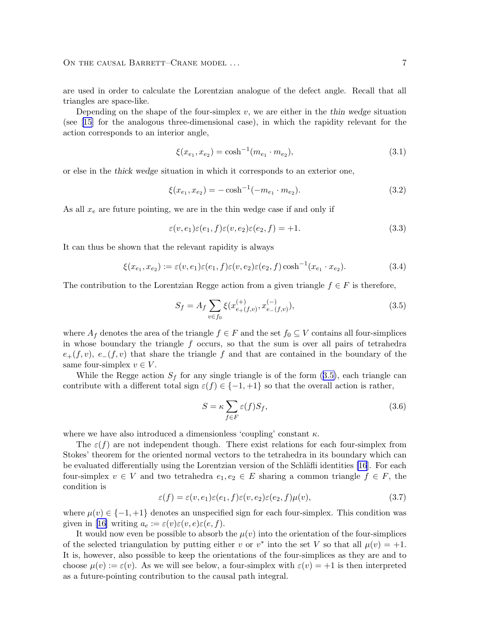<span id="page-6-0"></span>are used in order to calculate the Lorentzian analogue of the defect angle. Recall that all triangles are space-like.

Depending on the shape of the four-simplex  $v$ , we are either in the thin wedge situation (see [\[15\]](#page-20-0) for the analogous three-dimensional case), in which the rapidity relevant for the action corresponds to an interior angle,

$$
\xi(x_{e_1}, x_{e_2}) = \cosh^{-1}(m_{e_1} \cdot m_{e_2}),\tag{3.1}
$$

or else in the thick wedge situation in which it corresponds to an exterior one,

$$
\xi(x_{e_1}, x_{e_2}) = -\cosh^{-1}(-m_{e_1} \cdot m_{e_2}).\tag{3.2}
$$

As all  $x_e$  are future pointing, we are in the thin wedge case if and only if

$$
\varepsilon(v, e_1)\varepsilon(e_1, f)\varepsilon(v, e_2)\varepsilon(e_2, f) = +1.
$$
\n(3.3)

It can thus be shown that the relevant rapidity is always

$$
\xi(x_{e_1}, x_{e_2}) := \varepsilon(v, e_1)\varepsilon(e_1, f)\varepsilon(v, e_2)\varepsilon(e_2, f)\cosh^{-1}(x_{e_1} \cdot x_{e_2}).
$$
\n(3.4)

The contribution to the Lorentzian Regge action from a given triangle  $f \in F$  is therefore,

$$
S_f = A_f \sum_{v \in f_0} \xi(x_{e+(f,v)}^{(+)}, x_{e-(f,v)}^{(-)}),
$$
\n(3.5)

where  $A_f$  denotes the area of the triangle  $f \in F$  and the set  $f_0 \subseteq V$  contains all four-simplices in whose boundary the triangle  $f$  occurs, so that the sum is over all pairs of tetrahedra  $e_{+}(f, v), e_{-}(f, v)$  that share the triangle f and that are contained in the boundary of the same four-simplex  $v \in V$ .

While the Regge action  $S_f$  for any single triangle is of the form (3.5), each triangle can contribute with a different total sign  $\varepsilon(f) \in \{-1, +1\}$  so that the overall action is rather,

$$
S = \kappa \sum_{f \in F} \varepsilon(f) S_f,\tag{3.6}
$$

where we have also introduced a dimensionless 'coupling' constant  $\kappa$ .

The  $\varepsilon(f)$  are not independent though. There exist relations for each four-simplex from Stokes' theorem for the oriented normal vectors to the tetrahedra in its boundary which can be evaluated differentially using the Lorentzian version of the Schläfli identities [\[16](#page-21-0)]. For each four-simplex  $v \in V$  and two tetrahedra  $e_1, e_2 \in E$  sharing a common triangle  $f \in F$ , the condition is

$$
\varepsilon(f) = \varepsilon(v, e_1)\varepsilon(e_1, f)\varepsilon(v, e_2)\varepsilon(e_2, f)\mu(v),\tag{3.7}
$$

where  $\mu(v) \in \{-1, +1\}$  denotes an unspecified sign for each four-simplex. This condition was given in [\[16\]](#page-21-0) writing  $a_e := \varepsilon(v)\varepsilon(v,e)\varepsilon(e,f)$ .

It would now even be possible to absorb the  $\mu(v)$  into the orientation of the four-simplices of the selected triangulation by putting either v or  $v^*$  into the set V so that all  $\mu(v) = +1$ . It is, however, also possible to keep the orientations of the four-simplices as they are and to choose  $\mu(v) := \varepsilon(v)$ . As we will see below, a four-simplex with  $\varepsilon(v) = +1$  is then interpreted as a future-pointing contribution to the causal path integral.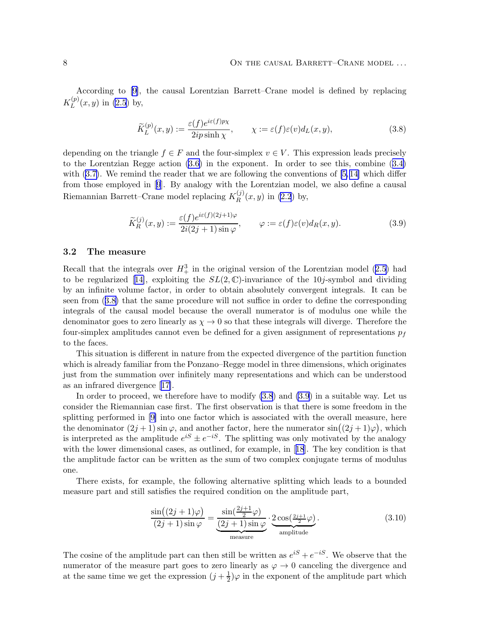<span id="page-7-0"></span>According to [\[9\]](#page-20-0), the causal Lorentzian Barrett–Crane model is defined by replacing  $K^{(p)}_L$  $L^{(p)}(x, y)$  in [\(2.5](#page-4-0)) by,

$$
\widetilde{K}_L^{(p)}(x,y) := \frac{\varepsilon(f)e^{i\varepsilon(f)p\chi}}{2ip\sinh\chi}, \qquad \chi := \varepsilon(f)\varepsilon(v)d_L(x,y),\tag{3.8}
$$

depending on the triangle  $f \in F$  and the four-simplex  $v \in V$ . This expression leads precisely to the Lorentzian Regge action [\(3.6\)](#page-6-0) in the exponent. In order to see this, combine([3.4\)](#page-6-0) with $(3.7)$  $(3.7)$ . We remind the reader that we are following the conventions of  $[5, 14]$  which differ from those employed in [\[9](#page-20-0)]. By analogy with the Lorentzian model, we also define a causal Riemannian Barrett–Crane model replacing  $K_R^{(j)}$  $R^{(0)}(x, y)$  in [\(2.2](#page-4-0)) by,

$$
\widetilde{K}_R^{(j)}(x,y) := \frac{\varepsilon(f)e^{i\varepsilon(f)(2j+1)\varphi}}{2i(2j+1)\sin\varphi}, \qquad \varphi := \varepsilon(f)\varepsilon(v)d_R(x,y). \tag{3.9}
$$

#### 3.2 The measure

Recallthat the integrals over  $H_+^3$  in the original version of the Lorentzian model ([2.5\)](#page-4-0) had tobe regularized [[14\]](#page-20-0), exploiting the  $SL(2,\mathbb{C})$ -invariance of the 10*j*-symbol and dividing by an infinite volume factor, in order to obtain absolutely convergent integrals. It can be seen from (3.8) that the same procedure will not suffice in order to define the corresponding integrals of the causal model because the overall numerator is of modulus one while the denominator goes to zero linearly as  $\chi \to 0$  so that these integrals will diverge. Therefore the four-simplex amplitudes cannot even be defined for a given assignment of representations  $p_f$ to the faces.

This situation is different in nature from the expected divergence of the partition function which is already familiar from the Ponzano–Regge model in three dimensions, which originates just from the summation over infinitely many representations and which can be understood as an infrared divergence[[17\]](#page-21-0).

In order to proceed, we therefore have to modify (3.8) and (3.9) in a suitable way. Let us consider the Riemannian case first. The first observation is that there is some freedom in the splitting performed in [\[9\]](#page-20-0) into one factor which is associated with the overall measure, here the denominator  $(2j + 1) \sin \varphi$ , and another factor, here the numerator  $\sin((2j + 1)\varphi)$ , which is interpreted as the amplitude  $e^{iS} \pm e^{-iS}$ . The splitting was only motivated by the analogy with the lower dimensional cases, as outlined, for example, in[[18](#page-21-0)]. The key condition is that the amplitude factor can be written as the sum of two complex conjugate terms of modulus one.

There exists, for example, the following alternative splitting which leads to a bounded measure part and still satisfies the required condition on the amplitude part,

$$
\frac{\sin((2j+1)\varphi)}{(2j+1)\sin\varphi} = \underbrace{\frac{\sin(\frac{2j+1}{2}\varphi)}{(2j+1)\sin\varphi}}_{\text{measure}} \cdot \underbrace{2\cos(\frac{2j+1}{2}\varphi)}_{\text{amplitude}}.
$$
\n(3.10)

The cosine of the amplitude part can then still be written as  $e^{iS} + e^{-iS}$ . We observe that the numerator of the measure part goes to zero linearly as  $\varphi \to 0$  canceling the divergence and at the same time we get the expression  $(j + \frac{1}{2})\varphi$  in the exponent of the amplitude part which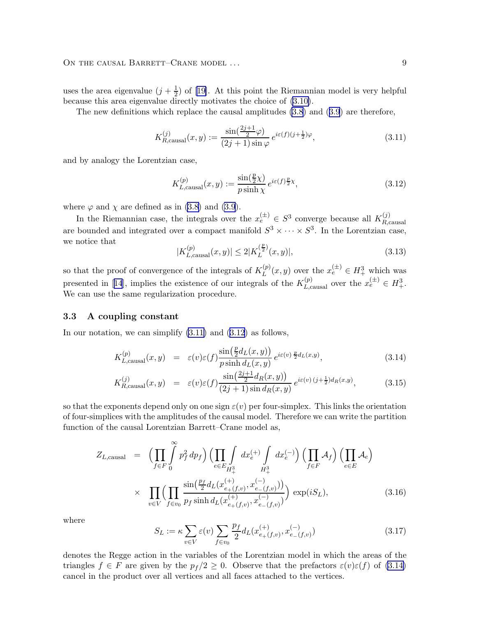<span id="page-8-0"></span>The new definitions which replace the causal amplitudes [\(3.8](#page-7-0)) and([3.9](#page-7-0)) are therefore,

$$
K_{R,\text{causal}}^{(j)}(x,y) := \frac{\sin(\frac{2j+1}{2}\varphi)}{(2j+1)\sin\varphi} e^{i\varepsilon(f)(j+\frac{1}{2})\varphi},\tag{3.11}
$$

and by analogy the Lorentzian case,

$$
K_{L,\text{causal}}^{(p)}(x,y) := \frac{\sin(\frac{p}{2}\chi)}{p\sinh\chi} e^{i\varepsilon(f)\frac{p}{2}\chi},\tag{3.12}
$$

where  $\varphi$  and  $\chi$  are defined as in [\(3.8\)](#page-7-0) and [\(3.9](#page-7-0)).

In the Riemannian case, the integrals over the  $x_e^{(\pm)} \in S^3$  converge because all  $K_{R,\epsilon}^{(j)}$ R,causal are bounded and integrated over a compact manifold  $S^3 \times \cdots \times S^3$ . In the Lorentzian case, we notice that p

$$
|K_{L,\text{causal}}^{(p)}(x,y)| \le 2|K_L^{(\frac{p}{2})}(x,y)|,\tag{3.13}
$$

so that the proof of convergence of the integrals of  $K_L^{(p)}$  $L^{(p)}(x, y)$  over the  $x_e^{(\pm)} \in H^3_+$  which was presentedin [[14](#page-20-0)], implies the existence of our integrals of the  $K_{L,\text{causal}}^{(p)}$  over the  $x_{e}^{(\pm)} \in H^3_+$ . We can use the same regularization procedure.

#### 3.3 A coupling constant

In our notation, we can simplify (3.11) and (3.12) as follows,

$$
K_{L,\text{causal}}^{(p)}(x,y) = \varepsilon(v)\varepsilon(f) \frac{\sin(\frac{p}{2}d_L(x,y))}{p\sinh d_L(x,y)} e^{i\varepsilon(v)\frac{p}{2}d_L(x,y)},\tag{3.14}
$$

$$
K_{R,\text{causal}}^{(j)}(x,y) = \varepsilon(v)\varepsilon(f) \frac{\sin(\frac{2j+1}{2}d_R(x,y))}{(2j+1)\sin d_R(x,y)} e^{i\varepsilon(v)(j+\frac{1}{2})d_R(x,y)},
$$
(3.15)

so that the exponents depend only on one sign  $\varepsilon(v)$  per four-simplex. This links the orientation of four-simplices with the amplitudes of the causal model. Therefore we can write the partition function of the causal Lorentzian Barrett–Crane model as,

$$
Z_{L,\text{causal}} = \left(\prod_{f \in F} \int_{0}^{\infty} p_f^2 dp_f \right) \left(\prod_{e \in E} \int_{H_+^3} dx_e^{(+)} \int_{H_+^3} dx_e^{(-)}\right) \left(\prod_{f \in F} \mathcal{A}_f\right) \left(\prod_{e \in E} \mathcal{A}_e\right)
$$
  
 
$$
\times \prod_{v \in V} \left(\prod_{f \in v_0} \frac{\sin\left(\frac{p_f}{2} d_L(x_{e_+(f,v)}^{(+)}, x_{e_-(f,v)}^{(-)})\right)}{p_f \sinh d_L(x_{e_+(f,v)}^{(+)}, x_{e_-(f,v)}^{(-)})}\right) \exp(iS_L), \tag{3.16}
$$

where

$$
S_L := \kappa \sum_{v \in V} \varepsilon(v) \sum_{f \in v_0} \frac{p_f}{2} d_L(x_{e+(f,v)}^{(+)}, x_{e-(f,v)}^{(-)})
$$
(3.17)

denotes the Regge action in the variables of the Lorentzian model in which the areas of the triangles  $f \in F$  are given by the  $p_f/2 \geq 0$ . Observe that the prefactors  $\varepsilon(v)\varepsilon(f)$  of (3.14) cancel in the product over all vertices and all faces attached to the vertices.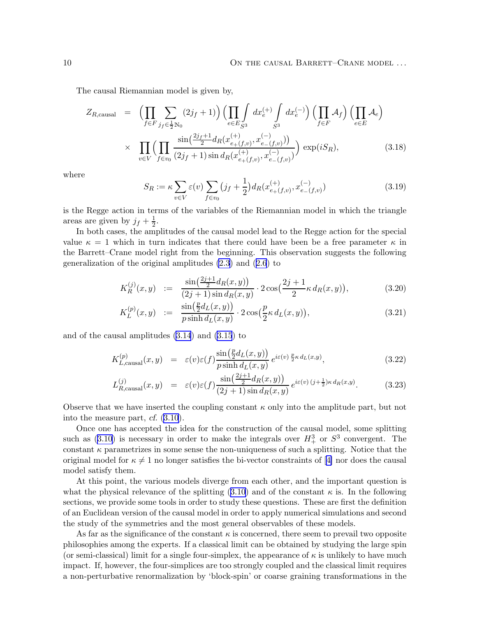<span id="page-9-0"></span>The causal Riemannian model is given by,

$$
Z_{R,\text{causal}} = \left(\prod_{f \in F} \sum_{j_f \in \frac{1}{2}N_0} (2j_f + 1)\right) \left(\prod_{e \in E} \int_{S^3} dx_e^{(+)} \int_{S^3} dx_e^{(-)}\right) \left(\prod_{f \in F} \mathcal{A}_f\right) \left(\prod_{e \in E} \mathcal{A}_e\right)
$$
  
 
$$
\times \prod_{v \in V} \left(\prod_{f \in v_0} \frac{\sin\left(\frac{2j_f+1}{2} d_R(x_{e_{+}(f,v)}^{(+)}, x_{e_{-}(f,v)}^{(-)}\right))}{(2j_f+1)\sin d_R(x_{e_{+}(f,v)}^{(+)}, x_{e_{-}(f,v)}^{(-)})}\right) \exp(iS_R), \tag{3.18}
$$

where

$$
S_R := \kappa \sum_{v \in V} \varepsilon(v) \sum_{f \in v_0} (j_f + \frac{1}{2}) d_R(x_{e+(f,v)}^{(+)}, x_{e-(f,v)}^{(-)})
$$
(3.19)

is the Regge action in terms of the variables of the Riemannian model in which the triangle areas are given by  $j_f + \frac{1}{2}$ .

In both cases, the amplitudes of the causal model lead to the Regge action for the special value  $\kappa = 1$  which in turn indicates that there could have been be a free parameter  $\kappa$  in the Barrett–Crane model right from the beginning. This observation suggests the following generalization of the original amplitudes [\(2.3](#page-4-0)) and([2.6](#page-5-0)) to

$$
K_R^{(j)}(x,y) := \frac{\sin(\frac{2j+1}{2}d_R(x,y))}{(2j+1)\sin d_R(x,y)} \cdot 2\cos(\frac{2j+1}{2}\kappa d_R(x,y)), \tag{3.20}
$$

$$
K_L^{(p)}(x,y) := \frac{\sin(\frac{p}{2}d_L(x,y))}{p\sinh d_L(x,y)} \cdot 2\cos(\frac{p}{2}\kappa d_L(x,y)),
$$
\n(3.21)

and of the causal amplitudes [\(3.14](#page-8-0)) and [\(3.15](#page-8-0)) to

$$
K_{L,\text{causal}}^{(p)}(x,y) = \varepsilon(v)\varepsilon(f) \frac{\sin(\frac{p}{2}d_L(x,y))}{p\sinh d_L(x,y)} e^{i\varepsilon(v)\frac{p}{2}\kappa d_L(x,y)}, \qquad (3.22)
$$

$$
L_{R,\text{causal}}^{(j)}(x,y) = \varepsilon(v)\varepsilon(f) \frac{\sin(\frac{2j+1}{2}d_R(x,y))}{(2j+1)\sin d_R(x,y)} e^{i\varepsilon(v)(j+\frac{1}{2})\kappa d_R(x,y)}.
$$
 (3.23)

Observe that we have inserted the coupling constant  $\kappa$  only into the amplitude part, but not into the measure part, cf. [\(3.10](#page-7-0)).

Once one has accepted the idea for the construction of the causal model, some splitting such as  $(3.10)$  is necessary in order to make the integrals over  $H^3_+$  or  $S^3$  convergent. The constant  $\kappa$  parametrizes in some sense the non-uniqueness of such a splitting. Notice that the original model for  $\kappa \neq 1$  no longer satisfies the bi-vector constraints of [\[4\]](#page-20-0) nor does the causal model satisfy them.

At this point, the various models diverge from each other, and the important question is what the physical relevance of the splitting  $(3.10)$  and of the constant  $\kappa$  is. In the following sections, we provide some tools in order to study these questions. These are first the definition of an Euclidean version of the causal model in order to apply numerical simulations and second the study of the symmetries and the most general observables of these models.

As far as the significance of the constant  $\kappa$  is concerned, there seem to prevail two opposite philosophies among the experts. If a classical limit can be obtained by studying the large spin (or semi-classical) limit for a single four-simplex, the appearance of  $\kappa$  is unlikely to have much impact. If, however, the four-simplices are too strongly coupled and the classical limit requires a non-perturbative renormalization by 'block-spin' or coarse graining transformations in the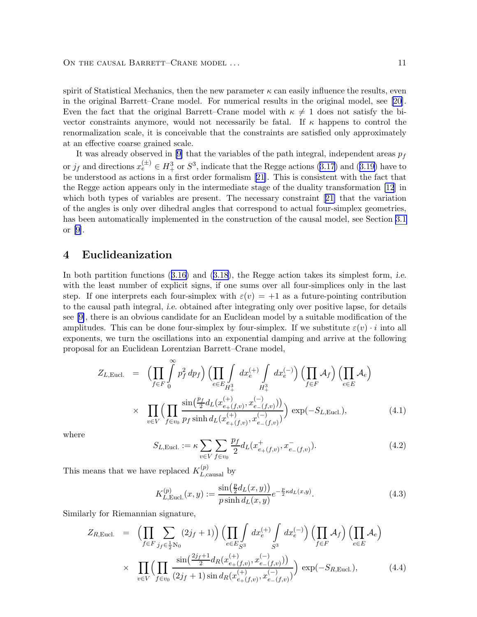<span id="page-10-0"></span>spirit of Statistical Mechanics, then the new parameter  $\kappa$  can easily influence the results, even in the original Barrett–Crane model. For numerical results in the original model, see[[20\]](#page-21-0). Even the fact that the original Barrett–Crane model with  $\kappa \neq 1$  does not satisfy the bivector constraints anymore, would not necessarily be fatal. If  $\kappa$  happens to control the renormalization scale, it is conceivable that the constraints are satisfied only approximately at an effective coarse grained scale.

It was already observed in [\[9\]](#page-20-0) that the variables of the path integral, independent areas  $p_f$ or $j_f$  and directions  $x_e^{(\pm)} \in H^3_+$  or  $S^3$ , indicate that the Regge actions ([3.17\)](#page-8-0) and ([3.19\)](#page-9-0) have to be understood as actions in a first order formalism [\[21\]](#page-21-0). This is consistent with the fact that the Regge action appears only in the intermediate stage of the duality transformation [\[12](#page-20-0)] in which both types of variables are present. The necessary constraint[[21\]](#page-21-0) that the variation of the angles is only over dihedral angles that correspond to actual four-simplex geometries, has been automatically implemented in the construction of the causal model, see Section [3.1](#page-5-0) or [\[9\]](#page-20-0).

### 4 Euclideanization

Inboth partition functions  $(3.16)$  $(3.16)$  and  $(3.18)$  $(3.18)$  $(3.18)$ , the Regge action takes its simplest form, *i.e.* with the least number of explicit signs, if one sums over all four-simplices only in the last step. If one interprets each four-simplex with  $\varepsilon(v) = +1$  as a future-pointing contribution to the causal path integral, i.e. obtained after integrating only over positive lapse, for details see [\[9\]](#page-20-0), there is an obvious candidate for an Euclidean model by a suitable modification of the amplitudes. This can be done four-simplex by four-simplex. If we substitute  $\varepsilon(v) \cdot i$  into all exponents, we turn the oscillations into an exponential damping and arrive at the following proposal for an Euclidean Lorentzian Barrett–Crane model,

$$
Z_{L,\text{Eucl.}} = \left( \prod_{f \in F} \int_{0}^{\infty} p_f^2 dp_f \right) \left( \prod_{e \in E} \int_{H_+^3} dx_e^{(+)} \int_{H_+^3} dx_e^{(-)} \right) \left( \prod_{f \in F} \mathcal{A}_f \right) \left( \prod_{e \in E} \mathcal{A}_e \right)
$$
  
 
$$
\times \prod_{v \in V} \left( \prod_{f \in v_0} \frac{\sin\left(\frac{p_f}{2} d_L(x_{e_+(f,v)}^{(+)}, x_{e_-(f,v)}^{(-)})\right)}{p_f \sinh d_L(x_{e_+(f,v)}^{(+)}, x_{e_-(f,v)}^{(-)})} \right) \exp(-S_{L,\text{Eucl.}}), \tag{4.1}
$$

where

$$
S_{L,\text{Eucl.}} := \kappa \sum_{v \in V} \sum_{f \in v_0} \frac{p_f}{2} d_L(x^+_{e_+(f,v)}, x^-_{e_-(f,v)}).
$$
 (4.2)

This means that we have replaced  $K_{L,\text{causal}}^{(p)}$  by

$$
K_{L,\text{Eucl.}}^{(p)}(x,y) := \frac{\sin(\frac{p}{2}d_L(x,y))}{p\sinh d_L(x,y)} e^{-\frac{p}{2}\kappa d_L(x,y)}.
$$
\n(4.3)

Similarly for Riemannian signature,

$$
Z_{R,\text{Eucl.}} = \left( \prod_{f \in F} \sum_{j_f \in \frac{1}{2} \mathbb{N}_0} (2j_f + 1) \right) \left( \prod_{e \in E_{S^3}} \int_{S^3} dx_e^{(+)} \int_{S^3} dx_e^{(-)} \right) \left( \prod_{f \in F} \mathcal{A}_f \right) \left( \prod_{e \in E} \mathcal{A}_e \right)
$$
  
 
$$
\times \prod_{v \in V} \left( \prod_{f \in v_0} \frac{\sin\left(\frac{2j_f + 1}{2} d_R(x_{e_+(f,v)}^{(+)}, x_{e_-(f,v)}^{(-)})\right)}{(2j_f + 1) \sin d_R(x_{e_+(f,v)}^{(+)}, x_{e_-(f,v)}^{(-)})} \right) \exp(-S_{R,\text{Eucl.}}), \tag{4.4}
$$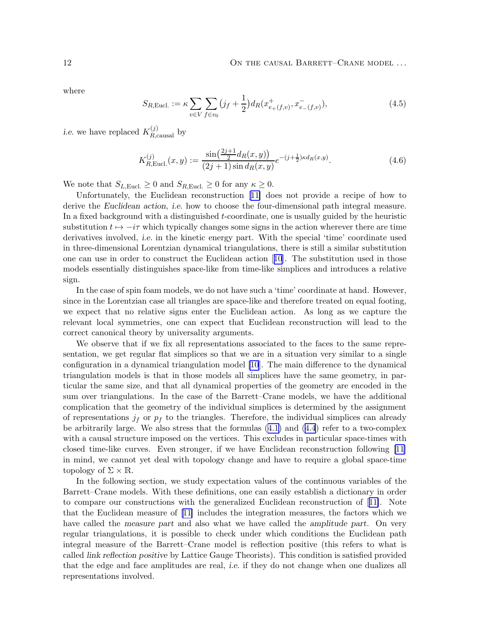where

$$
S_{R,\text{Eucl.}} := \kappa \sum_{v \in V} \sum_{f \in v_0} (j_f + \frac{1}{2}) d_R(x^+_{e_+(f,v)}, x^-_{e_-(f,v)}), \tag{4.5}
$$

*i.e.* we have replaced  $K_{R,\text{causal}}^{(j)}$  by

$$
K_{R,\text{Eucl.}}^{(j)}(x,y) := \frac{\sin\left(\frac{2j+1}{2}d_R(x,y)\right)}{(2j+1)\sin d_R(x,y)} e^{-(j+\frac{1}{2})\kappa d_R(x,y)}.
$$
(4.6)

We note that  $S_{L, \text{Eucl.}} \geq 0$  and  $S_{R, \text{Eucl.}} \geq 0$  for any  $\kappa \geq 0$ .

Unfortunately, the Euclidean reconstruction[[11\]](#page-20-0) does not provide a recipe of how to derive the Euclidean action, i.e. how to choose the four-dimensional path integral measure. In a fixed background with a distinguished t-coordinate, one is usually guided by the heuristic substitution  $t \mapsto -i\tau$  which typically changes some signs in the action wherever there are time derivatives involved, i.e. in the kinetic energy part. With the special 'time' coordinate used in three-dimensional Lorentzian dynamical triangulations, there is still a similar substitution one can use in order to construct the Euclidean action[[10](#page-20-0)]. The substitution used in those models essentially distinguishes space-like from time-like simplices and introduces a relative sign.

In the case of spin foam models, we do not have such a 'time' coordinate at hand. However, since in the Lorentzian case all triangles are space-like and therefore treated on equal footing, we expect that no relative signs enter the Euclidean action. As long as we capture the relevant local symmetries, one can expect that Euclidean reconstruction will lead to the correct canonical theory by universality arguments.

We observe that if we fix all representations associated to the faces to the same representation, we get regular flat simplices so that we are in a situation very similar to a single configuration in a dynamical triangulation model [\[10](#page-20-0)]. The main difference to the dynamical triangulation models is that in those models all simplices have the same geometry, in particular the same size, and that all dynamical properties of the geometry are encoded in the sum over triangulations. In the case of the Barrett–Crane models, we have the additional complication that the geometry of the individual simplices is determined by the assignment of representations  $j_f$  or  $p_f$  to the triangles. Therefore, the individual simplices can already be arbitrarily large. We also stress that the formulas([4.1\)](#page-10-0) and([4.4](#page-10-0)) refer to a two-complex with a causal structure imposed on the vertices. This excludes in particular space-times with closed time-like curves. Even stronger, if we have Euclidean reconstruction following [\[11\]](#page-20-0) in mind, we cannot yet deal with topology change and have to require a global space-time topology of  $\Sigma \times \mathbb{R}$ .

In the following section, we study expectation values of the continuous variables of the Barrett–Crane models. With these definitions, one can easily establish a dictionary in order to compare our constructions with the generalized Euclidean reconstruction of[[11\]](#page-20-0). Note that the Euclidean measure of [\[11\]](#page-20-0) includes the integration measures, the factors which we have called the *measure part* and also what we have called the *amplitude part*. On very regular triangulations, it is possible to check under which conditions the Euclidean path integral measure of the Barrett–Crane model is reflection positive (this refers to what is called link reflection positive by Lattice Gauge Theorists). This condition is satisfied provided that the edge and face amplitudes are real, i.e. if they do not change when one dualizes all representations involved.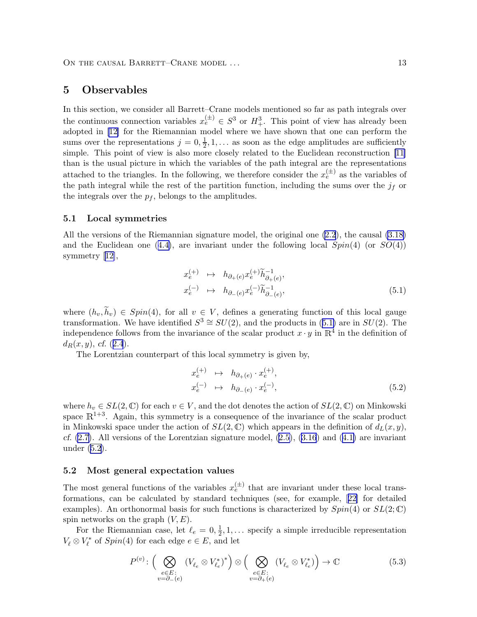## <span id="page-12-0"></span>5 Observables

In this section, we consider all Barrett–Crane models mentioned so far as path integrals over the continuous connection variables  $x_e^{(\pm)} \in S^3$  or  $H^3_+$ . This point of view has already been adopted in [\[12\]](#page-20-0) for the Riemannian model where we have shown that one can perform the sums over the representations  $j = 0, \frac{1}{2}$  $\frac{1}{2}$ , 1, ... as soon as the edge amplitudes are sufficiently simple. This point of view is also more closely related to the Euclidean reconstruction [\[11\]](#page-20-0) than is the usual picture in which the variables of the path integral are the representations attached to the triangles. In the following, we therefore consider the  $x_e^{(\pm)}$  as the variables of the path integral while the rest of the partition function, including the sums over the  $j_f$  or the integrals over the  $p_f$ , belongs to the amplitudes.

#### 5.1 Local symmetries

All the versions of the Riemannian signature model, the original one [\(2.2](#page-4-0)), the causal [\(3.18\)](#page-9-0) andthe Euclidean one ([4.4\)](#page-10-0), are invariant under the following local  $Spin(4)$  (or  $SO(4)$ ) symmetry [\[12\]](#page-20-0),

$$
x_e^{(+)} \quad \mapsto \quad h_{\partial_+(e)} x_e^{(+)} \widetilde{h}_{\partial_+(e)}^{-1},
$$
  

$$
x_e^{(-)} \quad \mapsto \quad h_{\partial_-(e)} x_e^{(-)} \widetilde{h}_{\partial_-(e)}^{-1},
$$
 (5.1)

where  $(h_v, \widetilde{h}_v) \in Spin(4)$ , for all  $v \in V$ , defines a generating function of this local gauge transformation. We have identified  $S^3 \cong SU(2)$ , and the products in (5.1) are in  $SU(2)$ . The independence follows from the invariance of the scalar product  $x \cdot y$  in  $\mathbb{R}^4$  in the definition of  $d_R(x, y)$ , cf. ([2.4](#page-4-0)).

The Lorentzian counterpart of this local symmetry is given by,

$$
x_e^{(+)} \quad \mapsto \quad h_{\partial_+(e)} \cdot x_e^{(+)},
$$
  
\n
$$
x_e^{(-)} \quad \mapsto \quad h_{\partial_-(e)} \cdot x_e^{(-)},
$$
\n
$$
(5.2)
$$

where  $h_v \in SL(2,\mathbb{C})$  for each  $v \in V$ , and the dot denotes the action of  $SL(2,\mathbb{C})$  on Minkowski space  $\mathbb{R}^{1+3}$ . Again, this symmetry is a consequence of the invariance of the scalar product in Minkowski space under the action of  $SL(2,\mathbb{C})$  which appears in the definition of  $d_L(x, y)$ , cf. $(2.7)$ . All versions of the Lorentzian signature model,  $(2.5)$  $(2.5)$ ,  $(3.16)$  and  $(4.1)$  $(4.1)$  are invariant under (5.2).

#### 5.2 Most general expectation values

The most general functions of the variables  $x_e^{(\pm)}$  that are invariant under these local transformations, can be calculated by standard techniques (see, for example,[[22\]](#page-21-0) for detailed examples). An orthonormal basis for such functions is characterized by  $Spin(4)$  or  $SL(2;\mathbb{C})$ spin networks on the graph  $(V, E)$ .

For the Riemannian case, let  $\ell_e = 0, \frac{1}{2}$  $\frac{1}{2}$ , 1, ... specify a simple irreducible representation  $V_{\ell}\otimes V_{\ell}^*$  $\zeta_{\ell}^*$  of  $Spin(4)$  for each edge  $e \in E$ , and let

$$
P^{(v)}: \left(\bigotimes_{\substack{e \in E:\\v = \partial_{-}(e)}} \left(V_{\ell_e} \otimes V_{\ell_e}^*\right)^* \right) \otimes \left(\bigotimes_{\substack{e \in E:\\v = \partial_{+}(e)}} \left(V_{\ell_e} \otimes V_{\ell_e}^*\right) \right) \to \mathbb{C}
$$
(5.3)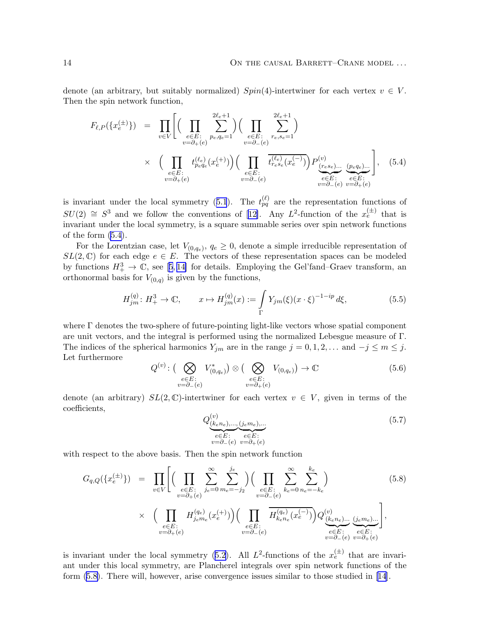<span id="page-13-0"></span>denote (an arbitrary, but suitably normalized)  $Spin(4)$ -intertwiner for each vertex  $v \in V$ . Then the spin network function,

$$
F_{\ell,P}(\{x_e^{(\pm)}\}) = \prod_{v \in V} \left[ \left( \prod_{e \in E : \atop v = \partial_+(e)} \sum_{p_e, q_e=1}^{2\ell_e+1} \right) \left( \prod_{e \in E : \atop v = \partial_-(e)} \sum_{r_e, s_e=1}^{2\ell_e+1} \right) \right]
$$
  
 
$$
\times \left( \prod_{\substack{e \in E : \atop v = \partial_+(e)}} t_{p_e q_e}^{(\ell_e)} (x_e^{(+)}) \right) \left( \prod_{\substack{e \in E : \atop v = \partial_-(e)}} \overline{t_{r_e s_e}^{(\ell_e)} (x_e^{(-)})} \right) P_{\underbrace{(r_e s_e) \dots}_{e \in E : \atop v = \partial_-(e)}}^{\text{(p}} \underbrace{(p_e q_e) \dots}_{e \in E : \atop v = \partial_+(e)}} \right], \quad (5.4)
$$

isinvariant under the local symmetry ([5.1](#page-12-0)). The  $t_{pq}^{(\ell)}$  are the representation functions of  $SU(2) \cong S^3$  $SU(2) \cong S^3$  $SU(2) \cong S^3$  and we follow the conventions of [[12\]](#page-20-0). Any L<sup>2</sup>-function of the  $x_e^{(\pm)}$  that is invariant under the local symmetry, is a square summable series over spin network functions of the form (5.4).

For the Lorentzian case, let  $V_{(0,q_e)}$ ,  $q_e \geq 0$ , denote a simple irreducible representation of  $SL(2,\mathbb{C})$  for each edge  $e \in E$ . The vectors of these representation spaces can be modeled byfunctions  $H^3_+ \to \mathbb{C}$ , see [[5](#page-20-0),14] for details. Employing the Gel'fand–Graev transform, an orthonormal basis for  $V_{(0,q)}$  is given by the functions,

$$
H_{jm}^{(q)}: H_{+}^{3} \to \mathbb{C}, \qquad x \mapsto H_{jm}^{(q)}(x) := \int_{\Gamma} Y_{jm}(\xi)(x \cdot \xi)^{-1 - ip} d\xi,
$$
 (5.5)

where  $\Gamma$  denotes the two-sphere of future-pointing light-like vectors whose spatial component are unit vectors, and the integral is performed using the normalized Lebesgue measure of Γ. The indices of the spherical harmonics  $Y_{jm}$  are in the range  $j = 0, 1, 2, \ldots$  and  $-j \le m \le j$ . Let furthermore

$$
Q^{(v)}: \left(\bigotimes_{\substack{e \in E:\\v = \partial_{-}(e)}} V_{(0,q_e)}^{*}\right) \otimes \left(\bigotimes_{\substack{e \in E:\\v = \partial_{+}(e)}} V_{(0,q_e)}\right) \to \mathbb{C}
$$
(5.6)

denote (an arbitrary)  $SL(2,\mathbb{C})$ -intertwiner for each vertex  $v \in V$ , given in terms of the coefficients,

$$
Q_{\underbrace{(k_e n_e), \dots, (j_e m_e), \dots}_{v = \partial_{-}(e)} \underbrace{e \in E}_{v = \partial_{+}(e)}}^{(v)}.
$$
\n
$$
(5.7)
$$

with respect to the above basis. Then the spin network function

$$
G_{q,Q}(\{x_e^{(\pm)}\}) = \prod_{v \in V} \left[ \left( \prod_{e \in E: \atop v = \partial_+(e)} \sum_{j_e=0}^{\infty} \sum_{m_e=-j_2}^{j_e} \right) \left( \prod_{e \in E: \atop v = \partial_-(e)} \sum_{k_e=0}^{\infty} \sum_{n_e=-k_e}^{k_e} \right) \right]
$$
\n
$$
\times \left( \prod_{\substack{e \in E: \atop v = \partial_+(e)}} H_{j_e m_e}^{(q_e)}(x_e^{(+)}) \right) \left( \prod_{\substack{e \in E: \atop v = \partial_-(e)}} \overline{H_{k_e n_e}^{(q_e)}(x_e^{(-)})} \right) Q_{\underbrace{(k_e n_e)...}_{e \in E: \atop v = \partial_-(e)}}^{(v)} \overline{Q}_{\underbrace{(k_e n_e)...}_{e \in E: \atop v = \partial_-(e)}}^{(v)} \right],
$$
\n(5.8)

is invariant under the local symmetry [\(5.2\)](#page-12-0). All  $L^2$ -functions of the  $x_e^{(\pm)}$  that are invariant under this local symmetry, are Plancherel integrals over spin network functions of the form (5.8). There will, however, arise convergence issues similar to those studied in [\[14\]](#page-20-0).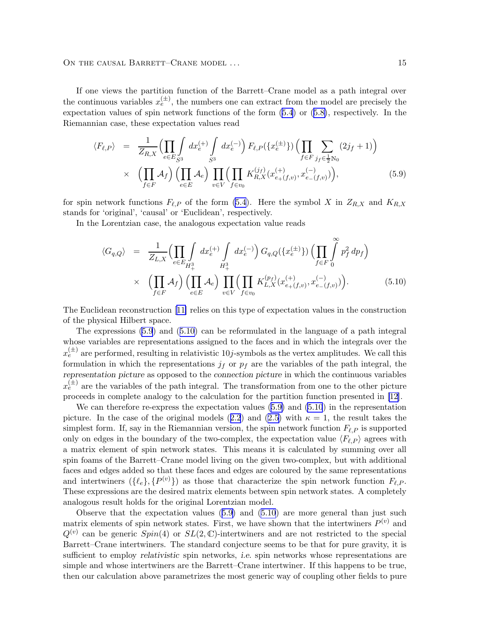<span id="page-14-0"></span>If one views the partition function of the Barrett–Crane model as a path integral over the continuous variables  $x_e^{(\pm)}$ , the numbers one can extract from the model are precisely the expectation values of spin network functions of the form [\(5.4](#page-13-0)) or([5.8\)](#page-13-0), respectively. In the Riemannian case, these expectation values read

$$
\langle F_{\ell,P} \rangle = \frac{1}{Z_{R,X}} \Big( \prod_{e \in E} \int_{S^3} dx_e^{(+)} \int_{S^3} dx_e^{(-)} \Big) F_{\ell,P}(\{x_e^{(\pm)}\}) \Big( \prod_{f \in F} \sum_{j_f \in \frac{1}{2} \mathbb{N}_0} (2j_f + 1) \Big) \times \Big( \prod_{f \in F} \mathcal{A}_f \Big) \Big( \prod_{e \in E} \mathcal{A}_e \Big) \prod_{v \in V} \Big( \prod_{f \in v_0} K_{R,X}^{(j_f)}(x_{e_+(f,v)}^{(+)}, x_{e_-(f,v)}^{(-)}) \Big),
$$
\n(5.9)

for spin network functions  $F_{\ell,P}$  of the form [\(5.4](#page-13-0)). Here the symbol X in  $Z_{R,X}$  and  $K_{R,X}$ stands for 'original', 'causal' or 'Euclidean', respectively.

In the Lorentzian case, the analogous expectation value reads

$$
\langle G_{q,Q} \rangle = \frac{1}{Z_{L,X}} \Biggl( \prod_{e \in E} \int_{H^3_+} dx^{(+)}_e \int_{H^3_+} dx^{(-)}_e \Biggr) G_{q,Q}(\{x^{(\pm)}_e\}) \Biggl( \prod_{f \in F} \int_{0}^{\infty} p_f^2 dp_f \Biggr) \times \Biggl( \prod_{f \in F} \mathcal{A}_f \Biggr) \Biggl( \prod_{e \in E} \mathcal{A}_e \Biggr) \prod_{v \in V} \Biggl( \prod_{f \in v_0} K^{(p_f)}_{L,X}(x^{(+)}_{e+(f,v)}, x^{(-)}_{e-(f,v)}) \Biggr).
$$
\n(5.10)

The Euclidean reconstruction[[11\]](#page-20-0) relies on this type of expectation values in the construction of the physical Hilbert space.

The expressions (5.9) and (5.10) can be reformulated in the language of a path integral whose variables are representations assigned to the faces and in which the integrals over the  $x_e^{(\pm)}$  are performed, resulting in relativistic 10*j*-symbols as the vertex amplitudes. We call this formulation in which the representations  $j_f$  or  $p_f$  are the variables of the path integral, the representation picture as opposed to the connection picture in which the continuous variables  $x_e^{(\pm)}$  are the variables of the path integral. The transformation from one to the other picture proceeds in complete analogy to the calculation for the partition function presented in [\[12](#page-20-0)].

We can therefore re-express the expectation values (5.9) and (5.10) in the representation picture.In the case of the original models ([2.2](#page-4-0)) and [\(2.5\)](#page-4-0) with  $\kappa = 1$ , the result takes the simplest form. If, say in the Riemannian version, the spin network function  $F_{\ell,P}$  is supported only on edges in the boundary of the two-complex, the expectation value  $\langle F_{\ell,P} \rangle$  agrees with a matrix element of spin network states. This means it is calculated by summing over all spin foams of the Barrett–Crane model living on the given two-complex, but with additional faces and edges added so that these faces and edges are coloured by the same representations and intertwiners  $(\{\ell_e\}, \{P^{(v)}\})$  as those that characterize the spin network function  $F_{\ell, P}$ . These expressions are the desired matrix elements between spin network states. A completely analogous result holds for the original Lorentzian model.

Observe that the expectation values  $(5.9)$  and  $(5.10)$  are more general than just such matrix elements of spin network states. First, we have shown that the intertwiners  $P^{(v)}$  and  $Q^{(v)}$  can be generic  $Spin(4)$  or  $SL(2,\mathbb{C})$ -intertwiners and are not restricted to the special Barrett–Crane intertwiners. The standard conjecture seems to be that for pure gravity, it is sufficient to employ *relativistic* spin networks, *i.e.* spin networks whose representations are simple and whose intertwiners are the Barrett–Crane intertwiner. If this happens to be true, then our calculation above parametrizes the most generic way of coupling other fields to pure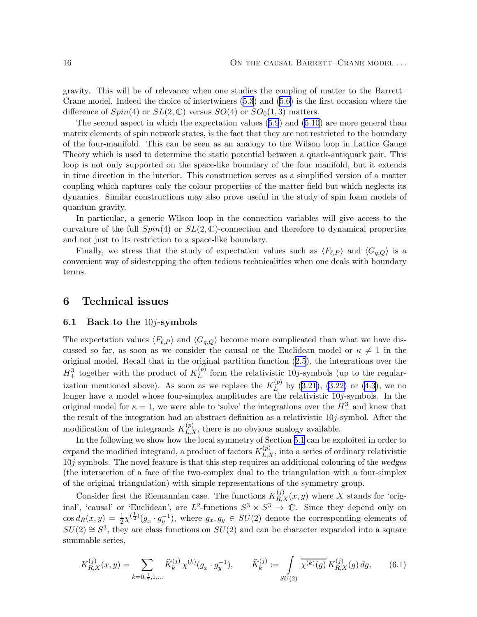<span id="page-15-0"></span>gravity. This will be of relevance when one studies the coupling of matter to the Barrett– Crane model. Indeed the choice of intertwiners [\(5.3\)](#page-12-0) and([5.6\)](#page-13-0) is the first occasion where the difference of  $Spin(4)$  or  $SL(2,\mathbb{C})$  versus  $SO(4)$  or  $SO_0(1,3)$  matters.

The second aspect in which the expectation values([5.9](#page-14-0)) and [\(5.10](#page-14-0)) are more general than matrix elements of spin network states, is the fact that they are not restricted to the boundary of the four-manifold. This can be seen as an analogy to the Wilson loop in Lattice Gauge Theory which is used to determine the static potential between a quark-antiquark pair. This loop is not only supported on the space-like boundary of the four manifold, but it extends in time direction in the interior. This construction serves as a simplified version of a matter coupling which captures only the colour properties of the matter field but which neglects its dynamics. Similar constructions may also prove useful in the study of spin foam models of quantum gravity.

In particular, a generic Wilson loop in the connection variables will give access to the curvature of the full  $Spin(4)$  or  $SL(2,\mathbb{C})$ -connection and therefore to dynamical properties and not just to its restriction to a space-like boundary.

Finally, we stress that the study of expectation values such as  $\langle F_{\ell,P} \rangle$  and  $\langle G_{q,Q} \rangle$  is a convenient way of sidestepping the often tedious technicalities when one deals with boundary terms.

### 6 Technical issues

#### 6.1 Back to the  $10j$ -symbols

The expectation values  $\langle F_{\ell,P} \rangle$  and  $\langle G_{q,Q} \rangle$  become more complicated than what we have discussed so far, as soon as we consider the causal or the Euclidean model or  $\kappa \neq 1$  in the original model. Recall that in the original partition function [\(2.5\)](#page-4-0), the integrations over the  $H^3_+$  together with the product of  $K_L^{(p)}$  $L<sup>(p)</sup>$  form the relativistic 10*j*-symbols (up to the regularization mentioned above). As soon as we replace the  $K_L^{(p)}$  $L^{(p)}$  by [\(3.21](#page-9-0)), [\(3.22\)](#page-9-0) or [\(4.3](#page-10-0)), we no longer have a model whose four-simplex amplitudes are the relativistic  $10j$ -symbols. In the original model for  $\kappa = 1$ , we were able to 'solve' the integrations over the  $H_+^3$  and knew that the result of the integration had an abstract definition as a relativistic  $10j$ -symbol. After the modification of the integrands  $K_{L,X}^{(p)}$ , there is no obvious analogy available.

In the following we show how the local symmetry of Section [5.1](#page-12-0) can be exploited in order to expand the modified integrand, a product of factors  $K_{L,X}^{(p)}$ , into a series of ordinary relativistic 10j-symbols. The novel feature is that this step requires an additional colouring of the wedges (the intersection of a face of the two-complex dual to the triangulation with a four-simplex of the original triangulation) with simple representations of the symmetry group.

Consider first the Riemannian case. The functions  $K_{R,X}^{(j)}(x,y)$  where X stands for 'original', 'causal' or 'Euclidean', are  $L^2$ -functions  $S^3 \times S^3 \to \mathbb{C}$ . Since they depend only on  $\cos d_R(x,y) = \frac{1}{2}\chi^{(\frac{1}{2})}(g_x \cdot g_y^{-1}),$  where  $g_x, g_y \in SU(2)$  denote the corresponding elements of  $SU(2) \cong S^3$ , they are class functions on  $SU(2)$  and can be character expanded into a square summable series,

$$
K_{R,X}^{(j)}(x,y) = \sum_{k=0,\frac{1}{2},1,\dots} \widehat{K}_k^{(j)} \chi^{(k)}(g_x \cdot g_y^{-1}), \qquad \widehat{K}_k^{(j)} := \int\limits_{SU(2)} \overline{\chi^{(k)}(g)} \, K_{R,X}^{(j)}(g) \, dg, \tag{6.1}
$$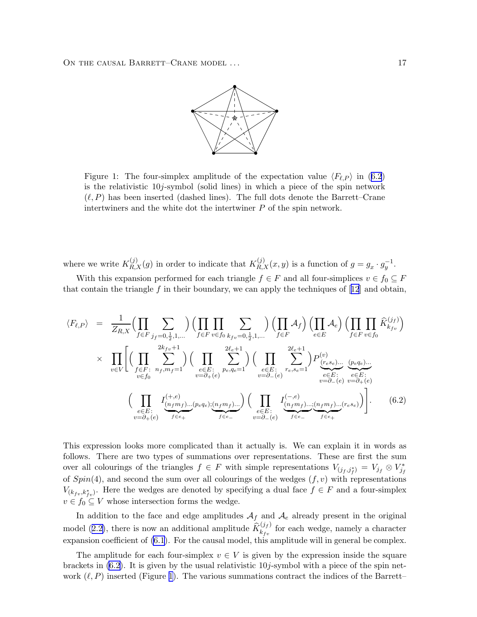

<span id="page-16-0"></span>Figure 1: The four-simplex amplitude of the expectation value  $\langle F_{\ell,P} \rangle$  in (6.2) is the relativistic 10j-symbol (solid lines) in which a piece of the spin network  $(\ell, P)$  has been inserted (dashed lines). The full dots denote the Barrett–Crane intertwiners and the white dot the intertwiner P of the spin network.

where we write  $K_{R,X}^{(j)}(g)$  in order to indicate that  $K_{R,X}^{(j)}(x,y)$  is a function of  $g = g_x \cdot g_y^{-1}$ .

With this expansion performed for each triangle  $f \in F$  and all four-simplices  $v \in f_0 \subseteq F$ thatcontain the triangle f in their boundary, we can apply the techniques of  $[12]$  $[12]$  $[12]$  and obtain,

$$
\langle F_{\ell,P} \rangle = \frac{1}{Z_{R,X}} \Big( \prod_{f \in F} \sum_{j_f=0, \frac{1}{2}, 1, \dots} \Big) \Big( \prod_{f \in F} \prod_{v \in f_0} \sum_{k_{fv}=0, \frac{1}{2}, 1, \dots} \Big) \Big( \prod_{f \in F} \mathcal{A}_f \Big) \Big( \prod_{e \in E} \mathcal{A}_e \Big) \Big( \prod_{f \in F} \prod_{v \in f_0} \widehat{K}_{k_{fv}}^{(j_f)} \Big)
$$
  
 
$$
\times \prod_{v \in V} \Bigg[ \Big( \prod_{f \in F} \sum_{n_f, m_f=1}^{2k_{fv}+1} \Big) \Big( \prod_{e \in E} \sum_{p_e, q_e=1}^{2\ell_e+1} \Big) \Big( \prod_{e \in E} \sum_{r_e, s_e=1}^{2\ell_e+1} \Big) P_{(r_e s_e) \dots (p_e q_e) \dots (p_e q_e) \dots (p_e q_e) \dots (p_e q_e) \dots (p_e q_e) \Big)}^{(k_f, k_f)} \Bigg]
$$
  
\n
$$
\Big( \prod_{e \in E} \prod_{v \in f_0} \frac{I_{(n_f m_f) \dots (p_e q_e); (n_f m_f) \dots}^{(+, e)}}{I_{e \in E} \Big( \prod_{v \in f_0} \frac{I_{(n_f m_f) \dots (n_f m_f) \dots (n_f m_f) \dots (r_e s_e)}{I_{e \in E} \Big)}^{(-, e)}} \Bigg)
$$
  
\n
$$
\Big( \prod_{e \in E} \frac{I_{(n_f m_f) \dots (p_e q_e); (n_f m_f) \dots}^{(+, e)}}{I_{e \in E} \Big( \prod_{v \in f_0 \in E} \frac{I_{(n_f m_f) \dots (n_f m_f) \dots (r_e s_e)}{I_{e \in E} \Big)} \Bigg)
$$
  
\n
$$
\Big( 6.2 \Big)
$$

This expression looks more complicated than it actually is. We can explain it in words as follows. There are two types of summations over representations. These are first the sum over all colourings of the triangles  $f \in F$  with simple representations  $V_{(j_f,j_f^*)} = V_{j_f} \otimes V_{j_f}^*$  $j_f$ of  $Spin(4)$ , and second the sum over all colourings of the wedges  $(f, v)$  with representations  $V_{(k_f, k_f^*)_y}$ . Here the wedges are denoted by specifying a dual face  $f \in F$  and a four-simplex  $v \in f_0 \subseteq V$  whose intersection forms the wedge.

In addition to the face and edge amplitudes  $A_f$  and  $A_e$  already present in the original model([2.2\)](#page-4-0), there is now an additional amplitude  $\widehat{K}_{k_{fv}}^{(j_f)}$  $\kappa_{f}^{(J_f)}$  for each wedge, namely a character expansion coefficient of [\(6.1](#page-15-0)). For the causal model, this amplitude will in general be complex.

The amplitude for each four-simplex  $v \in V$  is given by the expression inside the square brackets in  $(6.2)$ . It is given by the usual relativistic  $10j$ -symbol with a piece of the spin network  $(\ell, P)$  inserted (Figure 1). The various summations contract the indices of the Barrett–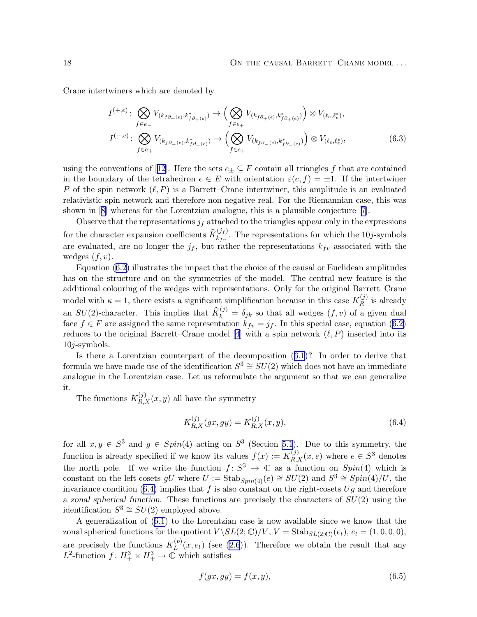Crane intertwiners which are denoted by

$$
I^{(+,e)}: \bigotimes_{f \in e_{-}} V_{(k_{f\partial_{+}(e)},k_{f\partial_{+}(e)})} \to \left(\bigotimes_{f \in e_{+}} V_{(k_{f\partial_{+}(e)},k_{f\partial_{+}(e)})}\right) \otimes V_{(\ell_{e},\ell_{e}^{*})},
$$

$$
I^{(-,e)}: \bigotimes_{f \in e_{+}} V_{(k_{f\partial_{-}(e)},k_{f\partial_{-}(e)})} \to \left(\bigotimes_{f \in e_{+}} V_{(k_{f\partial_{-}(e)},k_{f\partial_{-}(e)})}\right) \otimes V_{(\ell_{e},\ell_{e}^{*})},
$$
(6.3)

usingthe conventions of [[12\]](#page-20-0). Here the sets  $e_{\pm} \subseteq F$  contain all triangles f that are contained in the boundary of the tetrahedron  $e \in E$  with orientation  $\varepsilon(e, f) = \pm 1$ . If the intertwiner P of the spin network  $(\ell, P)$  is a Barrett–Crane intertwiner, this amplitude is an evaluated relativistic spin network and therefore non-negative real. For the Riemannian case, this was shown in[[8](#page-20-0)] whereas for the Lorentzian analogue, this is a plausible conjecture[[7](#page-20-0)].

Observe that the representations  $j_f$  attached to the triangles appear only in the expressions for the character expansion coefficients  $\widehat{K}_{k_{fv}}^{(j_f)}$  $\sum_{k_{fv}}^{(J_f)}$ . The representations for which the 10*j*-symbols are evaluated, are no longer the  $j_f$ , but rather the representations  $k_{fv}$  associated with the wedges  $(f, v)$ .

Equation([6.2](#page-16-0)) illustrates the impact that the choice of the causal or Euclidean amplitudes has on the structure and on the symmetries of the model. The central new feature is the additional colouring of the wedges with representations. Only for the original Barrett–Crane model with  $\kappa = 1$ , there exists a significant simplification because in this case  $K_R^{(j)}$  $\mathbb{R}^{(J)}$  is already an  $SU(2)$ -character. This implies that  $\widehat{K}_{k}^{(j)} = \delta_{jk}$  so that all wedges  $(f, v)$  of a given dual face $f \in F$  are assigned the same representation  $k_{fv} = j_f$ . In this special case, equation ([6.2\)](#page-16-0) reduces to the original Barrett–Crane model [\[4\]](#page-20-0) with a spin network  $(\ell, P)$  inserted into its  $10j$ -symbols.

Is there a Lorentzian counterpart of the decomposition([6.1](#page-15-0))? In order to derive that formula we have made use of the identification  $S^3 \cong SU(2)$  which does not have an immediate analogue in the Lorentzian case. Let us reformulate the argument so that we can generalize it.

The functions  $K_{R,X}^{(j)}(x, y)$  all have the symmetry

$$
K_{R,X}^{(j)}(gx, gy) = K_{R,X}^{(j)}(x, y),
$$
\n(6.4)

for all  $x, y \in S^3$  and  $g \in Spin(4)$  acting on  $S^3$  (Section [5.1](#page-12-0)). Due to this symmetry, the function is already specified if we know its values  $f(x) := K_{R,X}^{(j)}(x, e)$  where  $e \in S^3$  denotes the north pole. If we write the function  $f: S^3 \to \mathbb{C}$  as a function on  $Spin(4)$  which is constant on the left-cosets gU where  $U := \text{Stab}_{Spin(4)}(e) \cong SU(2)$  and  $S^3 \cong Spin(4)/U$ , the invariance condition (6.4) implies that f is also constant on the right-cosets  $U_q$  and therefore a zonal spherical function. These functions are precisely the characters of  $SU(2)$  using the identification  $S^3 \cong SU(2)$  employed above.

A generalization of [\(6.1\)](#page-15-0) to the Lorentzian case is now available since we know that the zonal spherical functions for the quotient  $V \setminus SL(2;\mathbb{C})/V$ ,  $V = \text{Stab}_{SL(2;\mathbb{C})}(e_t)$ ,  $e_t = (1,0,0,0)$ , are precisely the functions  $K_L^{(p)}$  $L^{(p)}(x, e_t)$  (see [\(2.6](#page-5-0))). Therefore we obtain the result that any  $L^2$ -function  $f: H^3_+ \times H^3_+ \to \mathbb{C}$  which satisfies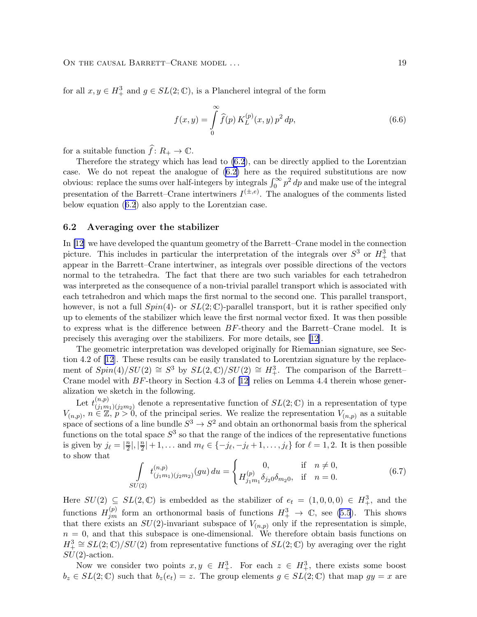for all  $x, y \in H^3_+$  and  $g \in SL(2;\mathbb{C})$ , is a Plancherel integral of the form

$$
f(x,y) = \int_{0}^{\infty} \hat{f}(p) K_{L}^{(p)}(x,y) p^{2} dp,
$$
\n(6.6)

for a suitable function  $\hat{f}: R_+ \to \mathbb{C}$ .

Therefore the strategy which has lead to [\(6.2](#page-16-0)), can be directly applied to the Lorentzian case. We do not repeat the analogue of [\(6.2\)](#page-16-0) here as the required substitutions are now obvious: replace the sums over half-integers by integrals  $\int_0^\infty p^2 dp$  and make use of the integral presentation of the Barrett–Crane intertwiners  $I^{(\pm,e)}$ . The analogues of the comments listed below equation([6.2](#page-16-0)) also apply to the Lorentzian case.

#### 6.2 Averaging over the stabilizer

In [\[12](#page-20-0)] we have developed the quantum geometry of the Barrett–Crane model in the connection picture. This includes in particular the interpretation of the integrals over  $S^3$  or  $H_+^3$  that appear in the Barrett–Crane intertwiner, as integrals over possible directions of the vectors normal to the tetrahedra. The fact that there are two such variables for each tetrahedron was interpreted as the consequence of a non-trivial parallel transport which is associated with each tetrahedron and which maps the first normal to the second one. This parallel transport, however, is not a full  $Spin(4)$ - or  $SL(2;\mathbb{C})$ -parallel transport, but it is rather specified only up to elements of the stabilizer which leave the first normal vector fixed. It was then possible to express what is the difference between  $BF$ -theory and the Barrett–Crane model. It is precisely this averaging over the stabilizers. For more details, see [\[12](#page-20-0)].

The geometric interpretation was developed originally for Riemannian signature, see Section 4.2 of [\[12](#page-20-0)]. These results can be easily translated to Lorentzian signature by the replacement of  $Spin(4)/SU(2) \cong S^3$  by  $SL(2,\mathbb{C})/SU(2) \cong H^3_+$ . The comparison of the Barrett– Cranemodel with  $BF$ -theory in Section 4.3 of [[12\]](#page-20-0) relies on Lemma 4.4 therein whose generalization we sketch in the following.

Let  $t^{(n,p)}_{(i,m)}$  $\binom{n,p}{(j_1m_1)(j_2m_2)}$  denote a representative function of  $SL(2;\mathbb{C})$  in a representation of type  $V_{(n,p)}$ ,  $n \in \mathbb{Z}, p > 0$ , of the principal series. We realize the representation  $V_{(n,p)}$  as a suitable space of sections of a line bundle  $S^3 \to S^2$  and obtain an orthonormal basis from the spherical functions on the total space  $S^3$  so that the range of the indices of the representative functions is given by  $j_\ell = \left|\frac{n}{2}\right|$  $\frac{n}{2}$ ,  $\left|\frac{n}{2}\right|$  $\lfloor \frac{n}{2} \rfloor + 1, \ldots$  and  $m_{\ell} \in \{-j_{\ell}, -j_{\ell}+1, \ldots, j_{\ell}\}\$  for  $\ell = 1, 2$ . It is then possible to show that

$$
\int_{SU(2)} t_{(j_1m_1)(j_2m_2)}^{(n,p)}(gu) du = \begin{cases} 0, & \text{if } n \neq 0, \\ H_{j_1m_1}^{(p)} \delta_{j_2 0} \delta_{m_2 0}, & \text{if } n = 0. \end{cases}
$$
(6.7)

Here  $SU(2) \subseteq SL(2,\mathbb{C})$  is embedded as the stabilizer of  $e_t = (1,0,0,0) \in H^3_+$ , and the functions  $H_{jm}^{(p)}$  form an orthonormal basis of functions  $H_{+}^{3} \rightarrow \mathbb{C}$ , see [\(5.5](#page-13-0)). This shows that there exists an  $SU(2)$ -invariant subspace of  $V_{(n,p)}$  only if the representation is simple,  $n = 0$ , and that this subspace is one-dimensional. We therefore obtain basis functions on  $H^3_+\cong SL(2;\mathbb{C})/SU(2)$  from representative functions of  $SL(2;\mathbb{C})$  by averaging over the right  $SU(2)$ -action.

Now we consider two points  $x, y \in H^3_+$ . For each  $z \in H^3_+$ , there exists some boost  $b_z \in SL(2;\mathbb{C})$  such that  $b_z(e_t) = z$ . The group elements  $g \in SL(2;\mathbb{C})$  that map  $gy = x$  are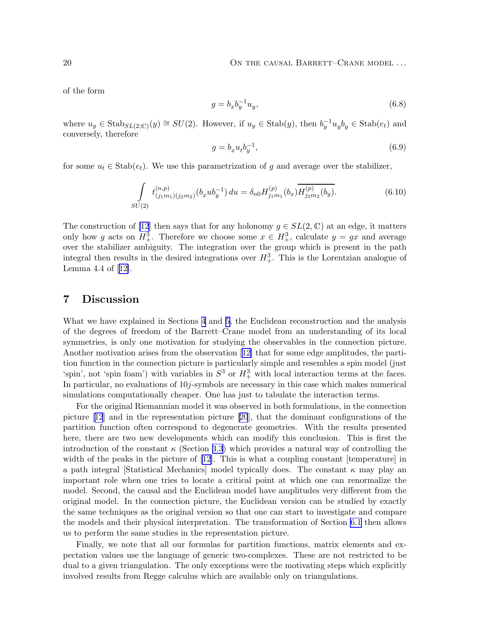of the form

$$
g = b_x b_y^{-1} u_y,\tag{6.8}
$$

where  $u_y \in \text{Stab}_{SL(2;\mathbb{C})}(y) \cong SU(2)$ . However, if  $u_y \in \text{Stab}(y)$ , then  $b_y^{-1}u_yb_y \in \text{Stab}(e_t)$  and conversely, therefore

$$
g = b_x u_t b_y^{-1},\tag{6.9}
$$

for some  $u_t \in \text{Stab}(e_t)$ . We use this parametrization of g and average over the stabilizer,

$$
\int_{SU(2)} t_{(j_1m_1)(j_2m_2)}^{(n,p)}(b_x u b_y^{-1}) du = \delta_{n0} H_{j_1m_1}^{(p)}(b_x) \overline{H_{j_2m_2}^{(p)}(b_y)}.
$$
\n(6.10)

The construction of [\[12](#page-20-0)] then says that for any holonomy  $g \in SL(2,\mathbb{C})$  at an edge, it matters only how g acts on  $H_+^3$ . Therefore we choose some  $x \in H_+^3$ , calculate  $y = gx$  and average over the stabilizer ambiguity. The integration over the group which is present in the path integral then results in the desired integrations over  $H_+^3$ . This is the Lorentzian analogue of Lemma 4.4 of[[12\]](#page-20-0).

### 7 Discussion

What we have explained in Sections [4](#page-10-0) and [5](#page-12-0), the Euclidean reconstruction and the analysis of the degrees of freedom of the Barrett–Crane model from an understanding of its local symmetries, is only one motivation for studying the observables in the connection picture. Another motivation arises from the observation[[12\]](#page-20-0) that for some edge amplitudes, the partition function in the connection picture is particularly simple and resembles a spin model (just 'spin', not 'spin foam') with variables in  $S^3$  or  $H^3_+$  with local interaction terms at the faces. In particular, no evaluations of 10j-symbols are necessary in this case which makes numerical simulations computationally cheaper. One has just to tabulate the interaction terms.

For the original Riemannian model it was observed in both formulations, in the connection picture[[12](#page-20-0)] and in the representation picture[[20](#page-21-0)], that the dominant configurations of the partition function often correspond to degenerate geometries. With the results presented here, there are two new developments which can modify this conclusion. This is first the introduction of the constant  $\kappa$  (Section [3.3](#page-8-0)) which provides a natural way of controlling the widthof the peaks in the picture of [[12\]](#page-20-0). This is what a coupling constant [temperature] in a path integral [Statistical Mechanics] model typically does. The constant  $\kappa$  may play an important role when one tries to locate a critical point at which one can renormalize the model. Second, the causal and the Euclidean model have amplitudes very different from the original model. In the connection picture, the Euclidean version can be studied by exactly the same techniques as the original version so that one can start to investigate and compare the models and their physical interpretation. The transformation of Section [6.1](#page-15-0) then allows us to perform the same studies in the representation picture.

Finally, we note that all our formulas for partition functions, matrix elements and expectation values use the language of generic two-complexes. These are not restricted to be dual to a given triangulation. The only exceptions were the motivating steps which explicitly involved results from Regge calculus which are available only on triangulations.

<span id="page-19-0"></span>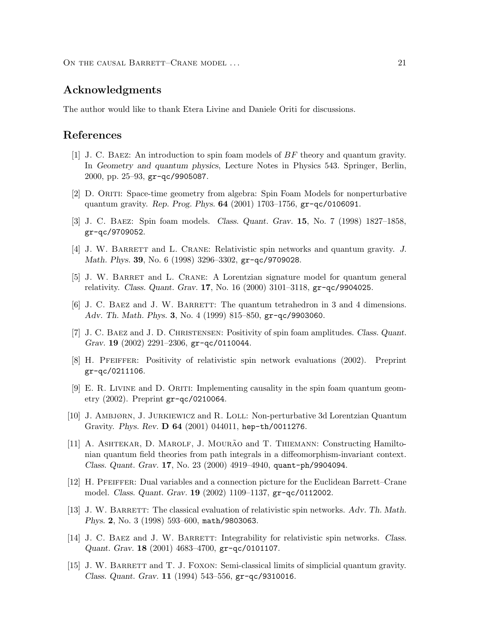<span id="page-20-0"></span>ON THE CAUSAL BARRETT–CRANE MODEL ... 21

### Acknowledgments

The author would like to thank Etera Livine and Daniele Oriti for discussions.

### References

- [1] J. C. Baez: An introduction to spin foam models of BF theory and quantum gravity. In Geometry and quantum physics, Lecture Notes in Physics 543. Springer, Berlin, 2000, pp. 25–93, gr-qc/9905087.
- [2] D. Oriti: Space-time geometry from algebra: Spin Foam Models for nonperturbative quantum gravity. Rep. Prog. Phys. 64 (2001) 1703–1756, gr-qc/0106091.
- [3] J. C. Baez: Spin foam models. Class. Quant. Grav. 15, No. 7 (1998) 1827–1858, gr-qc/9709052.
- [4] J. W. BARRETT and L. CRANE: Relativistic spin networks and quantum gravity. J. Math. Phys. 39, No. 6 (1998) 3296–3302, gr-qc/9709028.
- [5] J. W. Barret and L. Crane: A Lorentzian signature model for quantum general relativity. Class. Quant. Grav. 17, No. 16 (2000) 3101–3118, gr-qc/9904025.
- [6] J. C. BAEZ and J. W. BARRETT: The quantum tetrahedron in 3 and 4 dimensions. Adv. Th. Math. Phys. 3, No. 4 (1999) 815–850, gr-qc/9903060.
- [7] J. C. Baez and J. D. Christensen: Positivity of spin foam amplitudes. Class. Quant. Grav. 19  $(2002)$  2291-2306, gr-qc/0110044.
- [8] H. Pfeiffer: Positivity of relativistic spin network evaluations (2002). Preprint gr-qc/0211106.
- $[9]$  E. R. LIVINE and D. ORITI: Implementing causality in the spin foam quantum geometry (2002). Preprint gr-qc/0210064.
- [10] J. Ambjørn, J. Jurkiewicz and R. Loll: Non-perturbative 3d Lorentzian Quantum Gravity. Phys. Rev. D 64 (2001) 044011, hep-th/0011276.
- [11] A. ASHTEKAR, D. MAROLF, J. MOURÃO and T. THIEMANN: Constructing Hamiltonian quantum field theories from path integrals in a diffeomorphism-invariant context. Class. Quant. Grav. 17, No. 23 (2000) 4919–4940, quant-ph/9904094.
- [12] H. Pfeiffer: Dual variables and a connection picture for the Euclidean Barrett–Crane model. Class. Quant. Grav. 19 (2002) 1109–1137, gr-qc/0112002.
- [13] J. W. BARRETT: The classical evaluation of relativistic spin networks. Adv. Th. Math. Phys. 2, No. 3 (1998) 593–600, math/9803063.
- [14] J. C. BAEZ and J. W. BARRETT: Integrability for relativistic spin networks. Class. Quant. Grav. 18 (2001) 4683–4700, gr-qc/0101107.
- [15] J. W. BARRETT and T. J. FOXON: Semi-classical limits of simplicial quantum gravity. Class. Quant. Grav. 11 (1994) 543–556, gr-qc/9310016.